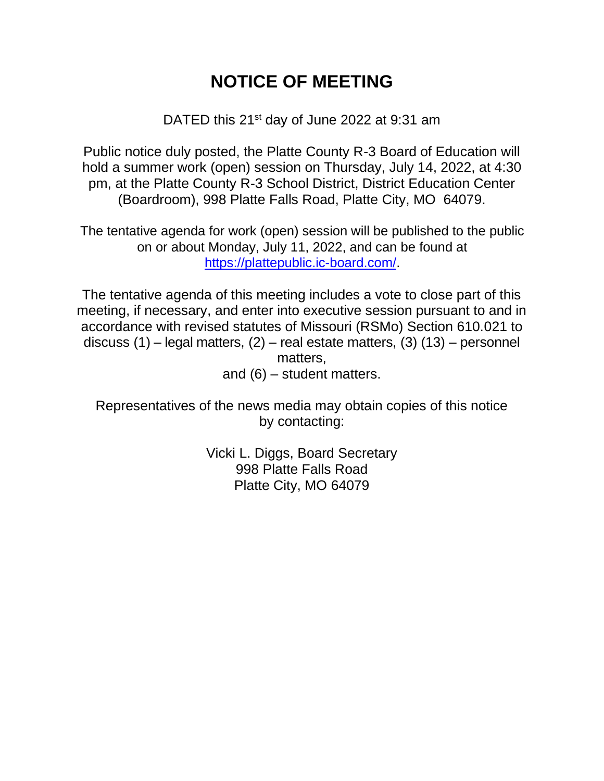## **NOTICE OF MEETING**

DATED this 21<sup>st</sup> day of June 2022 at 9:31 am

Public notice duly posted, the Platte County R-3 Board of Education will hold a summer work (open) session on Thursday, July 14, 2022, at 4:30 pm, at the Platte County R-3 School District, District Education Center (Boardroom), 998 Platte Falls Road, Platte City, MO 64079.

The tentative agenda for work (open) session will be published to the public on or about Monday, July 11, 2022, and can be found at [https://plattepublic.ic-board.com/.](https://plattepublic.ic-board.com/)

The tentative agenda of this meeting includes a vote to close part of this meeting, if necessary, and enter into executive session pursuant to and in accordance with revised statutes of Missouri (RSMo) Section 610.021 to discuss (1) – legal matters, (2) – real estate matters, (3) (13) – personnel matters, and (6) – student matters.

Representatives of the news media may obtain copies of this notice by contacting:

> Vicki L. Diggs, Board Secretary 998 Platte Falls Road Platte City, MO 64079